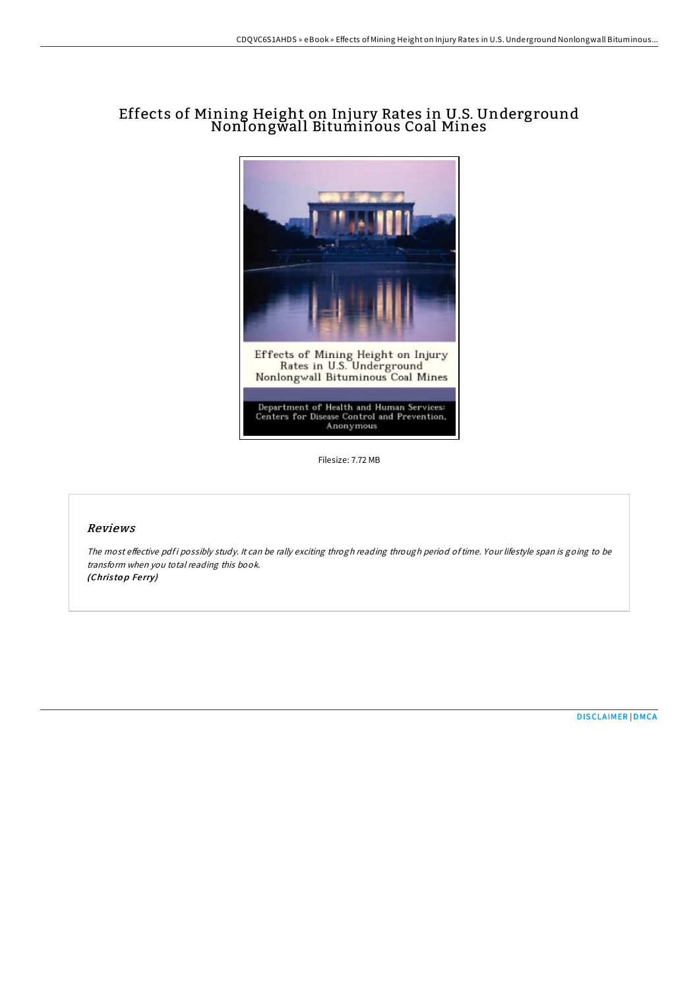## Effects of Mining Height on Injury Rates in U.S. Underground Nonlongwall Bituminous Coal Mines



Filesize: 7.72 MB

## Reviews

The most effective pdf i possibly study. It can be rally exciting throgh reading through period of time. Your lifestyle span is going to be transform when you total reading this book. (Christop Ferry)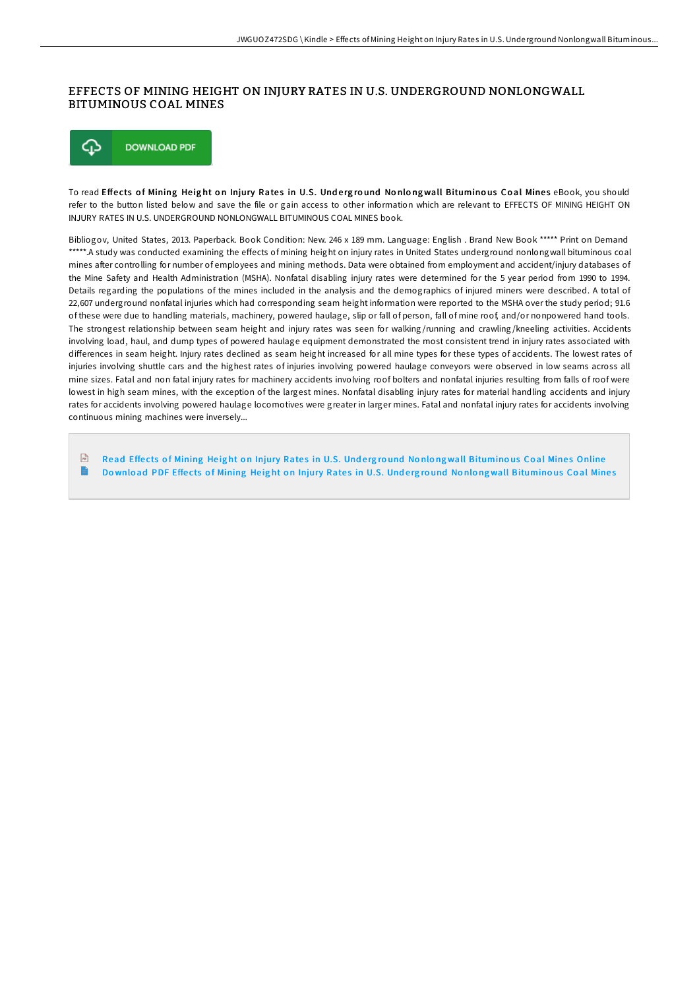## EFFECTS OF MINING HEIGHT ON INJURY RATES IN U.S. UNDERGROUND NONLONGWALL BITUMINOUS COAL MINES



To read Effects of Mining Height on Injury Rates in U.S. Underground Nonlongwall Bituminous Coal Mines eBook, you should refer to the button listed below and save the file or gain access to other information which are relevant to EFFECTS OF MINING HEIGHT ON INJURY RATES IN U.S. UNDERGROUND NONLONGWALL BITUMINOUS COAL MINES book.

Bibliogov, United States, 2013. Paperback. Book Condition: New. 246 x 189 mm. Language: English . Brand New Book \*\*\*\*\* Print on Demand \*\*\*\*\*.A study was conducted examining the effects of mining height on injury rates in United States underground nonlongwall bituminous coal mines after controlling for number of employees and mining methods. Data were obtained from employment and accident/injury databases of the Mine Safety and Health Administration (MSHA). Nonfatal disabling injury rates were determined for the 5 year period from 1990 to 1994. Details regarding the populations of the mines included in the analysis and the demographics of injured miners were described. A total of 22,607 underground nonfatal injuries which had corresponding seam height information were reported to the MSHA over the study period; 91.6 of these were due to handling materials, machinery, powered haulage, slip or fall of person, fall of mine roof, and/or nonpowered hand tools. The strongest relationship between seam height and injury rates was seen for walking /running and crawling /kneeling activities. Accidents involving load, haul, and dump types of powered haulage equipment demonstrated the most consistent trend in injury rates associated with differences in seam height. Injury rates declined as seam height increased for all mine types for these types of accidents. The lowest rates of injuries involving shuttle cars and the highest rates of injuries involving powered haulage conveyors were observed in low seams across all mine sizes. Fatal and non fatal injury rates for machinery accidents involving roof bolters and nonfatal injuries resulting from falls of roof were lowest in high seam mines, with the exception of the largest mines. Nonfatal disabling injury rates for material handling accidents and injury rates for accidents involving powered haulage locomotives were greater in larger mines. Fatal and nonfatal injury rates for accidents involving continuous mining machines were inversely...

 $\sqrt{m}$ Read Effects of Mining Height on Injury Rates in U.S. Underground Nonlongwall [Bitumino](http://almighty24.tech/effects-of-mining-height-on-injury-rates-in-u-s-.html)us Coal Mines Online E Download PDF Effects of Mining Height on Injury Rates in U.S. Underground Nonlongwall [Bitumino](http://almighty24.tech/effects-of-mining-height-on-injury-rates-in-u-s-.html)us Coal Mines